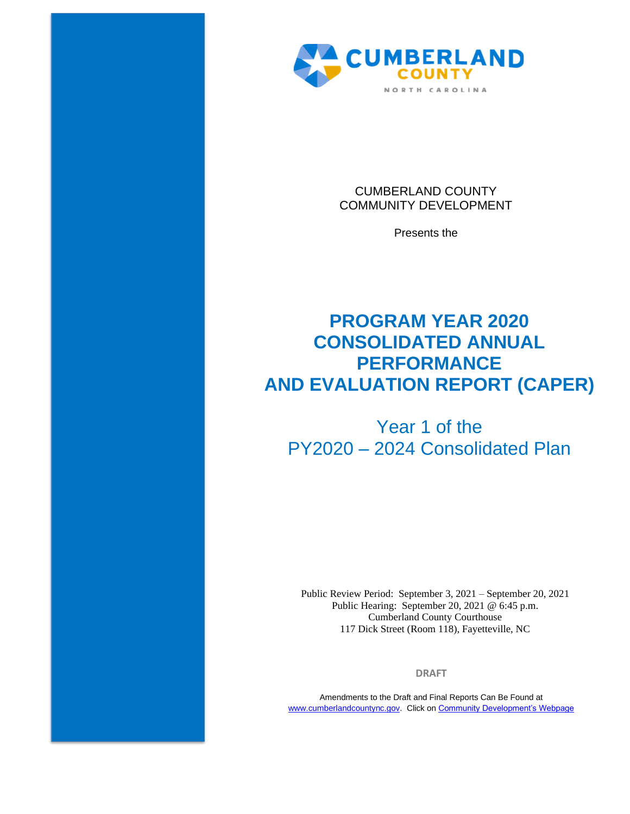

CUMBERLAND COUNTY COMMUNITY DEVELOPMENT

Presents the

# **PROGRAM YEAR 2020 CONSOLIDATED ANNUAL PERFORMANCE AND EVALUATION REPORT (CAPER)**

# Year 1 of the PY2020 – 2024 Consolidated Plan

Public Review Period: September 3, 2021 – September 20, 2021 Public Hearing: September 20, 2021 @ 6:45 p.m. Cumberland County Courthouse 117 Dick Street (Room 118), Fayetteville, NC

**DRAFT**

Amendments to the Draft and Final Reports Can Be Found at [www.cumberlandcountync.gov.](http://www.cumberlandcountync.gov/) Click o[n Community Development's Webpage](https://www.cumberlandcountync.gov/departments/community-development-group/community_development/plans-reports/caper)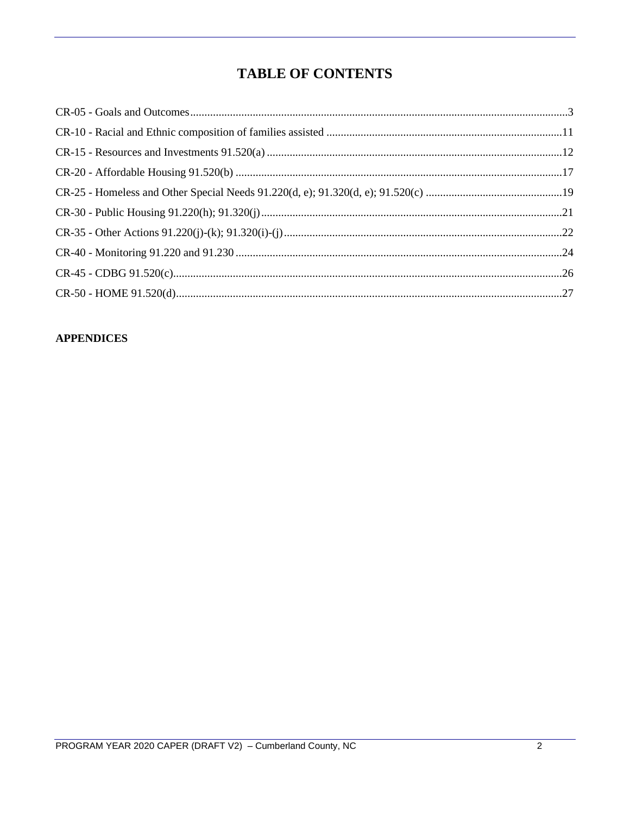# **TABLE OF CONTENTS**

# **APPENDICES**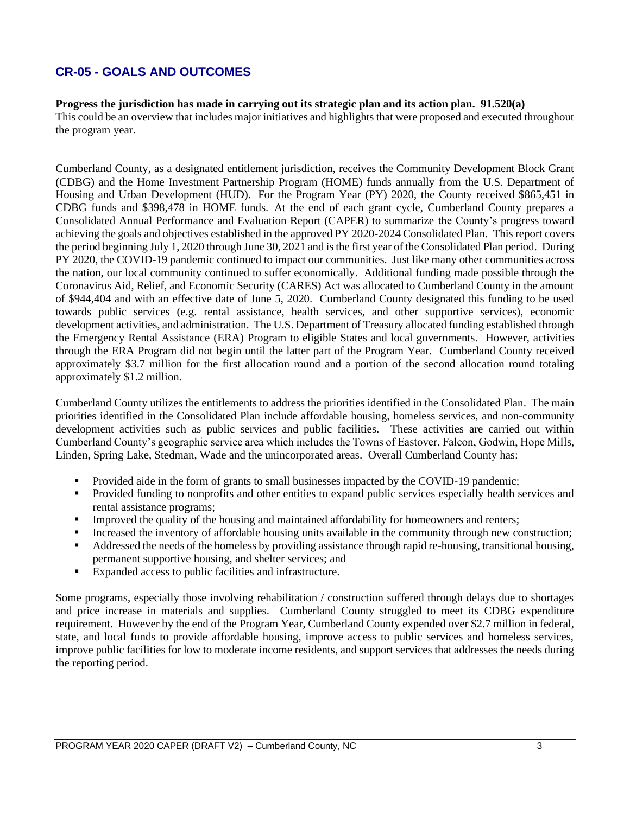# **CR-05 - GOALS AND OUTCOMES**

#### **Progress the jurisdiction has made in carrying out its strategic plan and its action plan. 91.520(a)**

This could be an overview that includes major initiatives and highlights that were proposed and executed throughout the program year.

Cumberland County, as a designated entitlement jurisdiction, receives the Community Development Block Grant (CDBG) and the Home Investment Partnership Program (HOME) funds annually from the U.S. Department of Housing and Urban Development (HUD). For the Program Year (PY) 2020, the County received \$865,451 in CDBG funds and \$398,478 in HOME funds. At the end of each grant cycle, Cumberland County prepares a Consolidated Annual Performance and Evaluation Report (CAPER) to summarize the County's progress toward achieving the goals and objectives established in the approved PY 2020-2024 Consolidated Plan. This report covers the period beginning July 1, 2020 through June 30, 2021 and is the first year of the Consolidated Plan period. During PY 2020, the COVID-19 pandemic continued to impact our communities. Just like many other communities across the nation, our local community continued to suffer economically. Additional funding made possible through the Coronavirus Aid, Relief, and Economic Security (CARES) Act was allocated to Cumberland County in the amount of \$944,404 and with an effective date of June 5, 2020. Cumberland County designated this funding to be used towards public services (e.g. rental assistance, health services, and other supportive services), economic development activities, and administration. The U.S. Department of Treasury allocated funding established through the Emergency Rental Assistance (ERA) Program to eligible States and local governments. However, activities through the ERA Program did not begin until the latter part of the Program Year. Cumberland County received approximately \$3.7 million for the first allocation round and a portion of the second allocation round totaling approximately \$1.2 million.

Cumberland County utilizes the entitlements to address the priorities identified in the Consolidated Plan. The main priorities identified in the Consolidated Plan include affordable housing, homeless services, and non-community development activities such as public services and public facilities. These activities are carried out within Cumberland County's geographic service area which includes the Towns of Eastover, Falcon, Godwin, Hope Mills, Linden, Spring Lake, Stedman, Wade and the unincorporated areas. Overall Cumberland County has:

- Provided aide in the form of grants to small businesses impacted by the COVID-19 pandemic;
- Provided funding to nonprofits and other entities to expand public services especially health services and rental assistance programs;
- **IMPROVED 1** Improved the quality of the housing and maintained affordability for homeowners and renters;
- Increased the inventory of affordable housing units available in the community through new construction;
- Addressed the needs of the homeless by providing assistance through rapid re-housing, transitional housing, permanent supportive housing, and shelter services; and
- Expanded access to public facilities and infrastructure.

Some programs, especially those involving rehabilitation / construction suffered through delays due to shortages and price increase in materials and supplies. Cumberland County struggled to meet its CDBG expenditure requirement. However by the end of the Program Year, Cumberland County expended over \$2.7 million in federal, state, and local funds to provide affordable housing, improve access to public services and homeless services, improve public facilities for low to moderate income residents, and support services that addresses the needs during the reporting period.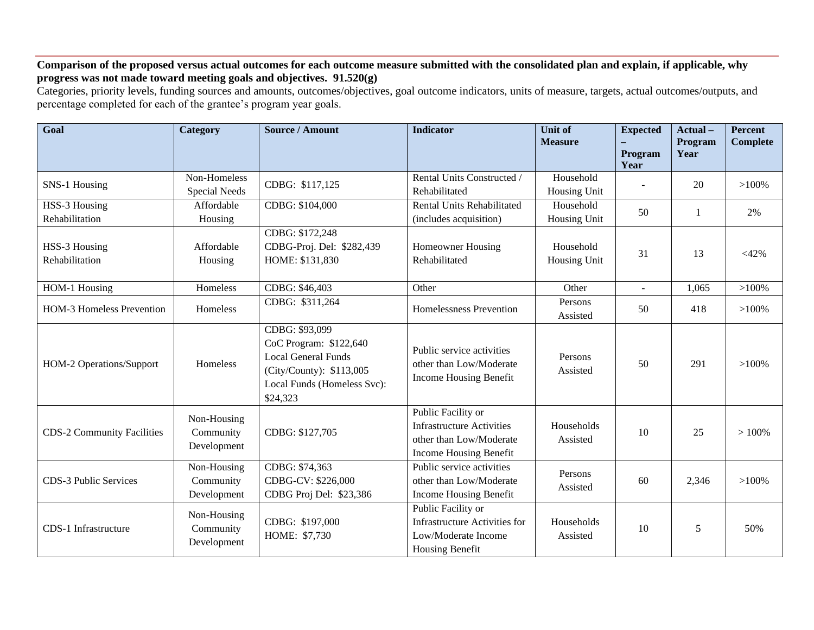## **Comparison of the proposed versus actual outcomes for each outcome measure submitted with the consolidated plan and explain, if applicable, why progress was not made toward meeting goals and objectives. 91.520(g)**

Categories, priority levels, funding sources and amounts, outcomes/objectives, goal outcome indicators, units of measure, targets, actual outcomes/outputs, and percentage completed for each of the grantee's program year goals.

| Goal                              | Category                                | <b>Source / Amount</b>                                                                                                                        | <b>Indicator</b>                                                                                            | <b>Unit of</b><br><b>Measure</b> | <b>Expected</b><br>Program<br>Year | Actual-<br>Program<br>Year | <b>Percent</b><br><b>Complete</b> |
|-----------------------------------|-----------------------------------------|-----------------------------------------------------------------------------------------------------------------------------------------------|-------------------------------------------------------------------------------------------------------------|----------------------------------|------------------------------------|----------------------------|-----------------------------------|
| SNS-1 Housing                     | Non-Homeless<br><b>Special Needs</b>    | CDBG: \$117,125                                                                                                                               | Rental Units Constructed /<br>Rehabilitated                                                                 | Household<br>Housing Unit        |                                    | 20                         | $>100\%$                          |
| HSS-3 Housing<br>Rehabilitation   | Affordable<br>Housing                   | CDBG: \$104,000                                                                                                                               | Rental Units Rehabilitated<br>(includes acquisition)                                                        | Household<br>Housing Unit        | 50                                 | 1                          | 2%                                |
| HSS-3 Housing<br>Rehabilitation   | Affordable<br>Housing                   | CDBG: \$172,248<br>CDBG-Proj. Del: \$282,439<br>HOME: \$131,830                                                                               | Homeowner Housing<br>Rehabilitated                                                                          | Household<br>Housing Unit        | 31                                 | 13                         | $<$ 42%                           |
| HOM-1 Housing                     | Homeless                                | CDBG: \$46,403                                                                                                                                | Other                                                                                                       | Other                            | $\sim$                             | 1,065                      | $>100\%$                          |
| <b>HOM-3 Homeless Prevention</b>  | Homeless                                | CDBG: \$311,264                                                                                                                               | Homelessness Prevention                                                                                     | Persons<br>Assisted              | 50                                 | 418                        | $>100\%$                          |
| HOM-2 Operations/Support          | Homeless                                | CDBG: \$93,099<br>CoC Program: \$122,640<br><b>Local General Funds</b><br>(City/County): \$113,005<br>Local Funds (Homeless Svc):<br>\$24,323 | Public service activities<br>other than Low/Moderate<br>Income Housing Benefit                              | Persons<br>Assisted              | 50                                 | 291                        | $>100\%$                          |
| <b>CDS-2 Community Facilities</b> | Non-Housing<br>Community<br>Development | CDBG: \$127,705                                                                                                                               | Public Facility or<br><b>Infrastructure Activities</b><br>other than Low/Moderate<br>Income Housing Benefit | Households<br>Assisted           | 10                                 | 25                         | >100%                             |
| CDS-3 Public Services             | Non-Housing<br>Community<br>Development | CDBG: \$74,363<br>CDBG-CV: \$226,000<br>CDBG Proj Del: \$23,386                                                                               | Public service activities<br>other than Low/Moderate<br>Income Housing Benefit                              | Persons<br>Assisted              | 60                                 | 2,346                      | $>100\%$                          |
| CDS-1 Infrastructure              | Non-Housing<br>Community<br>Development | CDBG: \$197,000<br>HOME: \$7,730                                                                                                              | Public Facility or<br><b>Infrastructure Activities for</b><br>Low/Moderate Income<br>Housing Benefit        | Households<br>Assisted           | 10                                 | 5                          | 50%                               |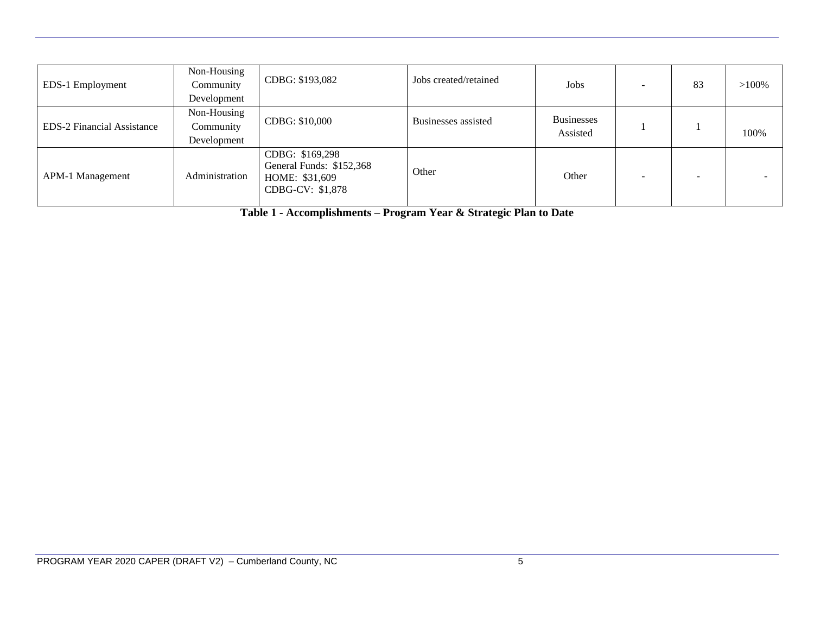| EDS-1 Employment                  | Non-Housing<br>Community<br>Development | CDBG: \$193,082                                                                   | Jobs created/retained | Jobs                          | 83 | $>100\%$ |
|-----------------------------------|-----------------------------------------|-----------------------------------------------------------------------------------|-----------------------|-------------------------------|----|----------|
| <b>EDS-2 Financial Assistance</b> | Non-Housing<br>Community<br>Development | CDBG: \$10,000                                                                    | Businesses assisted   | <b>Businesses</b><br>Assisted |    | 100%     |
| APM-1 Management                  | Administration                          | CDBG: \$169,298<br>General Funds: \$152,368<br>HOME: \$31,609<br>CDBG-CV: \$1,878 | Other                 | Other                         |    |          |

**Table 1 - Accomplishments – Program Year & Strategic Plan to Date**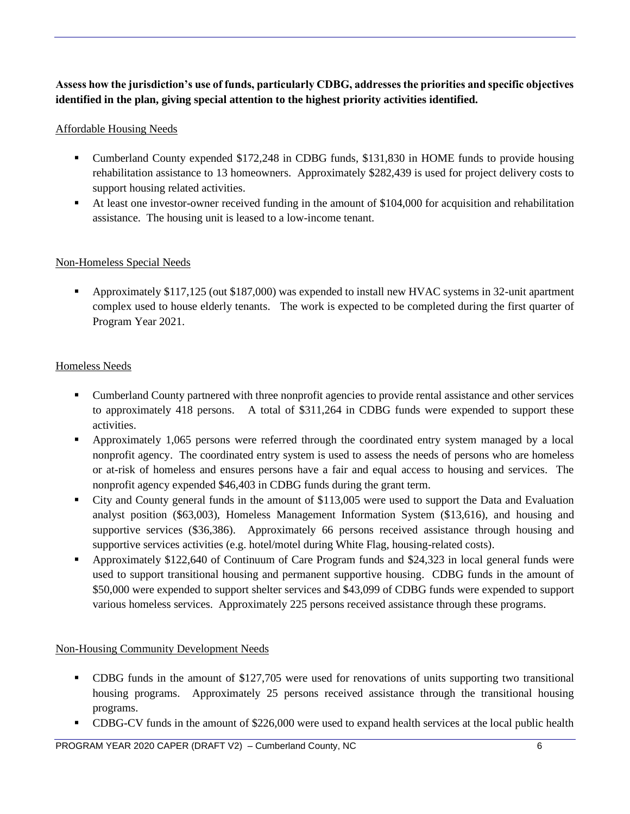# **Assess how the jurisdiction's use of funds, particularly CDBG, addresses the priorities and specific objectives identified in the plan, giving special attention to the highest priority activities identified.**

## Affordable Housing Needs

- Cumberland County expended \$172,248 in CDBG funds, \$131,830 in HOME funds to provide housing rehabilitation assistance to 13 homeowners. Approximately \$282,439 is used for project delivery costs to support housing related activities.
- At least one investor-owner received funding in the amount of \$104,000 for acquisition and rehabilitation assistance. The housing unit is leased to a low-income tenant.

## Non-Homeless Special Needs

▪ Approximately \$117,125 (out \$187,000) was expended to install new HVAC systems in 32-unit apartment complex used to house elderly tenants. The work is expected to be completed during the first quarter of Program Year 2021.

# Homeless Needs

- Cumberland County partnered with three nonprofit agencies to provide rental assistance and other services to approximately 418 persons. A total of \$311,264 in CDBG funds were expended to support these activities.
- **•** Approximately 1,065 persons were referred through the coordinated entry system managed by a local nonprofit agency. The coordinated entry system is used to assess the needs of persons who are homeless or at-risk of homeless and ensures persons have a fair and equal access to housing and services. The nonprofit agency expended \$46,403 in CDBG funds during the grant term.
- City and County general funds in the amount of \$113,005 were used to support the Data and Evaluation analyst position (\$63,003), Homeless Management Information System (\$13,616), and housing and supportive services (\$36,386). Approximately 66 persons received assistance through housing and supportive services activities (e.g. hotel/motel during White Flag, housing-related costs).
- Approximately \$122,640 of Continuum of Care Program funds and \$24,323 in local general funds were used to support transitional housing and permanent supportive housing. CDBG funds in the amount of \$50,000 were expended to support shelter services and \$43,099 of CDBG funds were expended to support various homeless services. Approximately 225 persons received assistance through these programs.

## Non-Housing Community Development Needs

- CDBG funds in the amount of \$127,705 were used for renovations of units supporting two transitional housing programs. Approximately 25 persons received assistance through the transitional housing programs.
- CDBG-CV funds in the amount of \$226,000 were used to expand health services at the local public health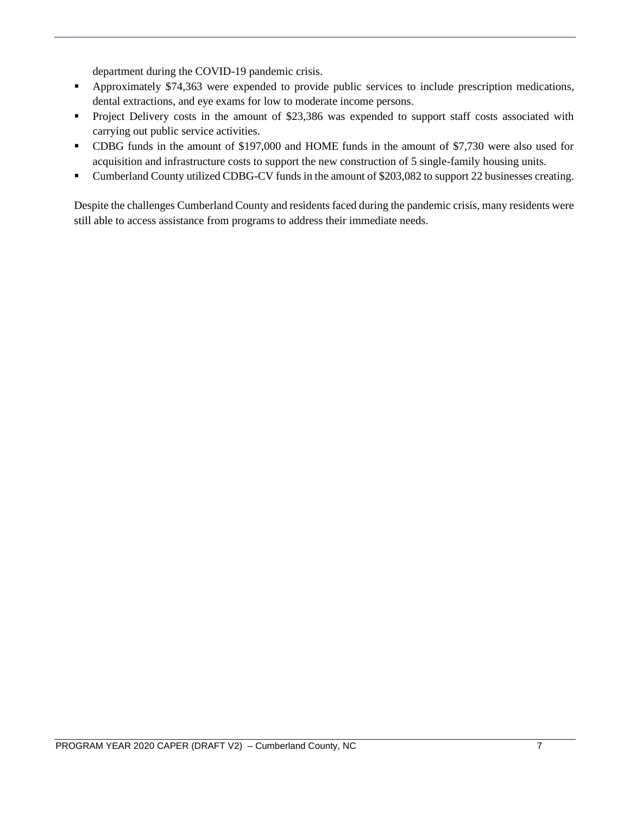department during the COVID-19 pandemic crisis.

- Approximately \$74,363 were expended to provide public services to include prescription medications, dental extractions, and eye exams for low to moderate income persons.
- **•** Project Delivery costs in the amount of \$23,386 was expended to support staff costs associated with carrying out public service activities.
- CDBG funds in the amount of \$197,000 and HOME funds in the amount of \$7,730 were also used for acquisition and infrastructure costs to support the new construction of 5 single-family housing units.
- Cumberland County utilized CDBG-CV funds in the amount of \$203,082 to support 22 businesses creating.

Despite the challenges Cumberland County and residents faced during the pandemic crisis, many residents were still able to access assistance from programs to address their immediate needs.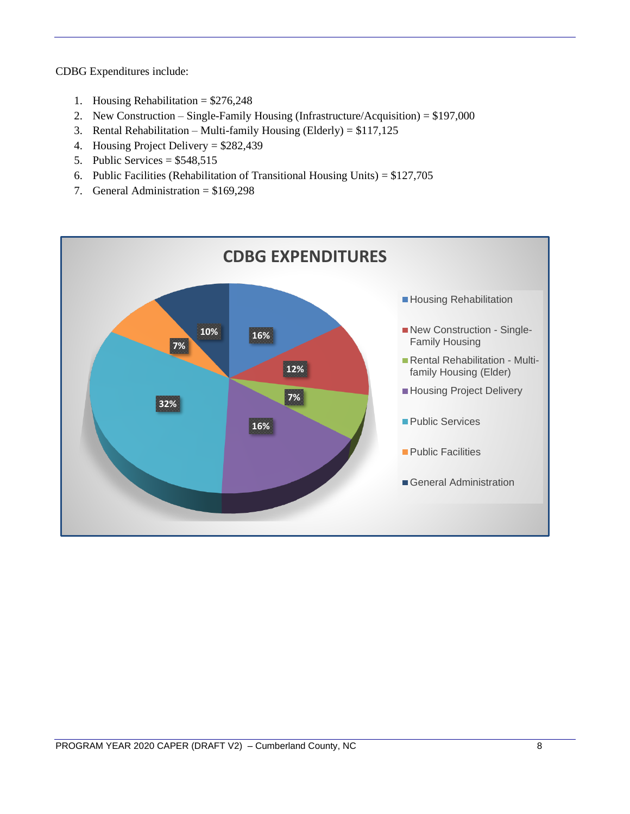CDBG Expenditures include:

- 1. Housing Rehabilitation = \$276,248
- 2. New Construction Single-Family Housing (Infrastructure/Acquisition) = \$197,000
- 3. Rental Rehabilitation Multi-family Housing (Elderly) = \$117,125
- 4. Housing Project Delivery = \$282,439
- 5. Public Services =  $$548,515$
- 6. Public Facilities (Rehabilitation of Transitional Housing Units) = \$127,705
- 7. General Administration = \$169,298

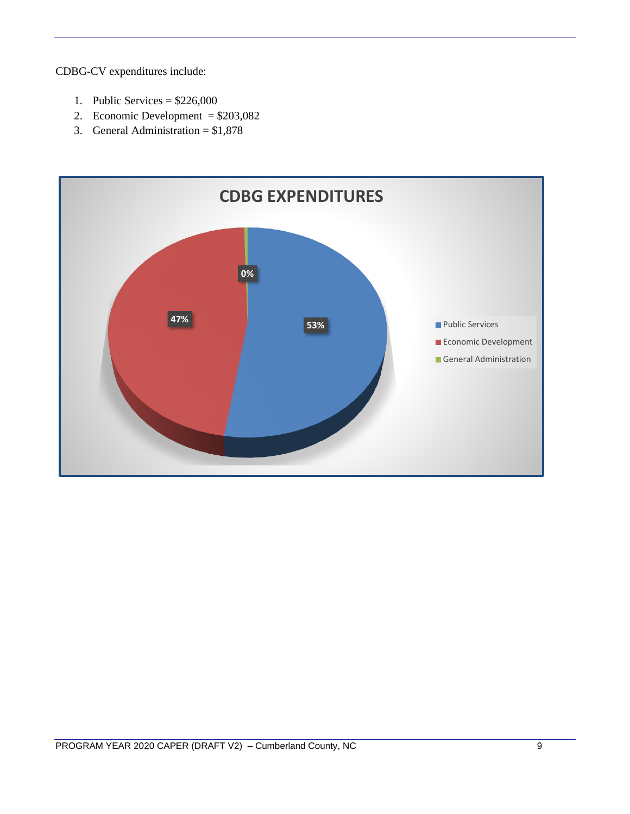CDBG-CV expenditures include:

- 1. Public Services =  $$226,000$
- 2. Economic Development = \$203,082
- 3. General Administration = \$1,878

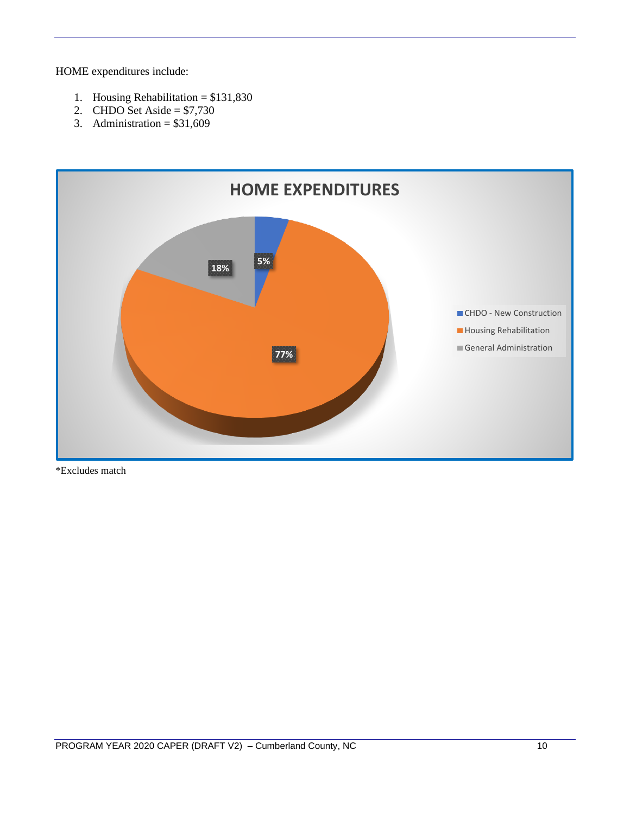HOME expenditures include:

- 1. Housing Rehabilitation = \$131,830
- 2. CHDO Set Aside =  $$7,730$
- 3. Administration =  $$31,609$



\*Excludes match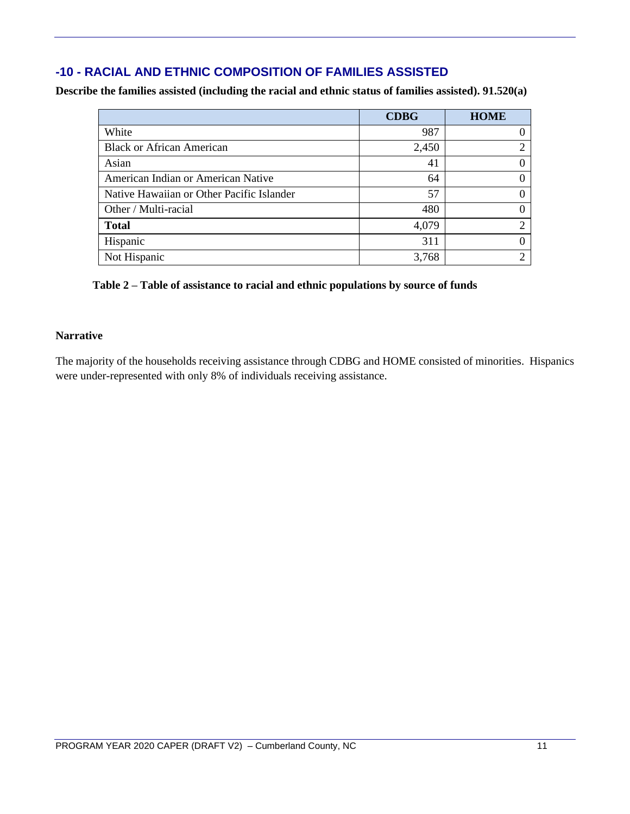# **-10 - RACIAL AND ETHNIC COMPOSITION OF FAMILIES ASSISTED**

**Describe the families assisted (including the racial and ethnic status of families assisted). 91.520(a)** 

|                                           | <b>CDBG</b> | <b>HOME</b>    |
|-------------------------------------------|-------------|----------------|
| White                                     | 987         | $\theta$       |
| <b>Black or African American</b>          | 2,450       | $\overline{c}$ |
| Asian                                     | 41          | $\theta$       |
| American Indian or American Native        | 64          | 0              |
| Native Hawaiian or Other Pacific Islander | 57          | $\theta$       |
| Other / Multi-racial                      | 480         | $\Omega$       |
| <b>Total</b>                              | 4,079       | ↑              |
| Hispanic                                  | 311         | 0              |
| Not Hispanic                              | 3,768       | 2              |

## **Table 2 – Table of assistance to racial and ethnic populations by source of funds**

## **Narrative**

The majority of the households receiving assistance through CDBG and HOME consisted of minorities. Hispanics were under-represented with only 8% of individuals receiving assistance.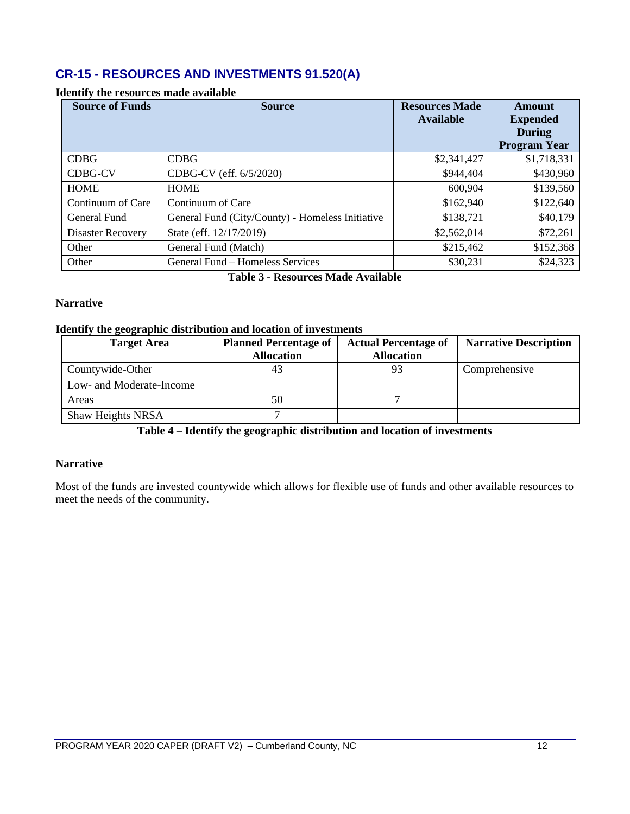# **CR-15 - RESOURCES AND INVESTMENTS 91.520(A)**

| <b>Source of Funds</b>   | <b>Source</b>                                    | <b>Resources Made</b><br><b>Available</b> | Amount<br><b>Expended</b><br><b>During</b><br><b>Program Year</b> |
|--------------------------|--------------------------------------------------|-------------------------------------------|-------------------------------------------------------------------|
| <b>CDBG</b>              | <b>CDBG</b>                                      | \$2,341,427                               | \$1,718,331                                                       |
| <b>CDBG-CV</b>           | CDBG-CV (eff. 6/5/2020)                          | \$944,404                                 | \$430,960                                                         |
| <b>HOME</b>              | <b>HOME</b>                                      | 600,904                                   | \$139,560                                                         |
| Continuum of Care        | Continuum of Care                                | \$162,940                                 | \$122,640                                                         |
| General Fund             | General Fund (City/County) - Homeless Initiative | \$138,721                                 | \$40,179                                                          |
| <b>Disaster Recovery</b> | State (eff. 12/17/2019)                          | \$2,562,014                               | \$72,261                                                          |
| Other                    | General Fund (Match)                             | \$215,462                                 | \$152,368                                                         |
| Other                    | General Fund - Homeless Services                 | \$30,231                                  | \$24,323                                                          |

#### **Identify the resources made available**

**Table 3 - Resources Made Available**

#### **Narrative**

#### **Identify the geographic distribution and location of investments**

| <b>Target Area</b>       | <b>Planned Percentage of</b> | <b>Actual Percentage of</b> | <b>Narrative Description</b> |
|--------------------------|------------------------------|-----------------------------|------------------------------|
|                          | <b>Allocation</b>            | <b>Allocation</b>           |                              |
| Countywide-Other         |                              | 93                          | Comprehensive                |
| Low- and Moderate-Income |                              |                             |                              |
| Areas                    | 50                           |                             |                              |
| Shaw Heights NRSA        |                              |                             |                              |

**Table 4 – Identify the geographic distribution and location of investments**

#### **Narrative**

Most of the funds are invested countywide which allows for flexible use of funds and other available resources to meet the needs of the community.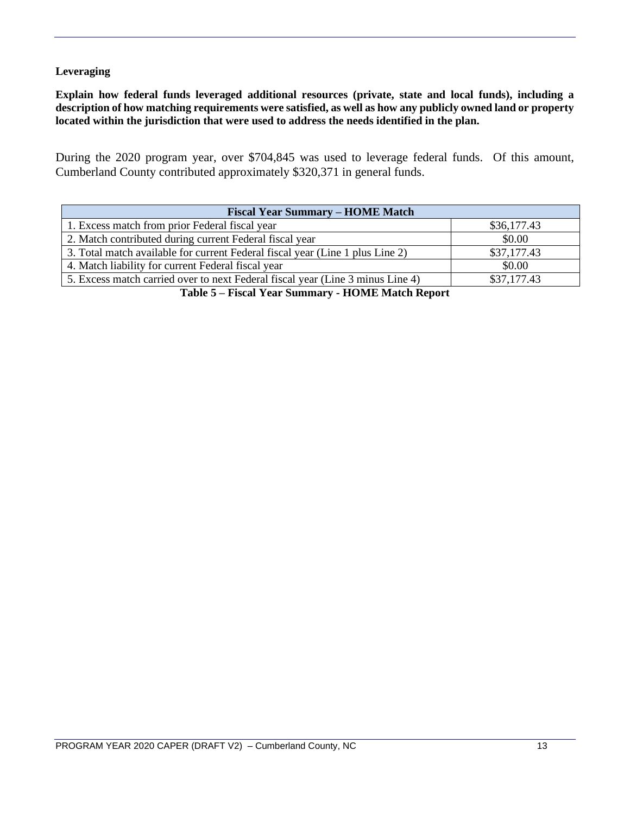### **Leveraging**

**Explain how federal funds leveraged additional resources (private, state and local funds), including a description of how matching requirements were satisfied, as well as how any publicly owned land or property located within the jurisdiction that were used to address the needs identified in the plan.**

During the 2020 program year, over \$704,845 was used to leverage federal funds. Of this amount, Cumberland County contributed approximately \$320,371 in general funds.

| <b>Fiscal Year Summary – HOME Match</b>                                        |             |  |  |  |  |
|--------------------------------------------------------------------------------|-------------|--|--|--|--|
| 1. Excess match from prior Federal fiscal year                                 | \$36,177.43 |  |  |  |  |
| 2. Match contributed during current Federal fiscal year                        | \$0.00      |  |  |  |  |
| 3. Total match available for current Federal fiscal year (Line 1 plus Line 2)  | \$37,177.43 |  |  |  |  |
| 4. Match liability for current Federal fiscal year                             | \$0.00      |  |  |  |  |
| 5. Excess match carried over to next Federal fiscal year (Line 3 minus Line 4) | \$37,177.43 |  |  |  |  |
|                                                                                |             |  |  |  |  |

**Table 5 – Fiscal Year Summary - HOME Match Report**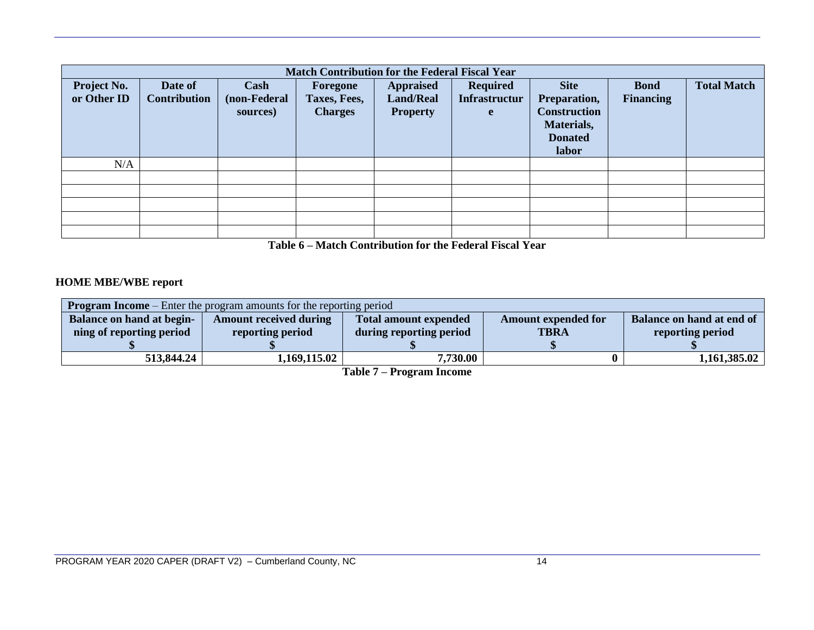|                                   | <b>Match Contribution for the Federal Fiscal Year</b> |                                  |                                            |                                                         |                                              |                                                                                             |                                 |                    |
|-----------------------------------|-------------------------------------------------------|----------------------------------|--------------------------------------------|---------------------------------------------------------|----------------------------------------------|---------------------------------------------------------------------------------------------|---------------------------------|--------------------|
| <b>Project No.</b><br>or Other ID | Date of<br><b>Contribution</b>                        | Cash<br>(non-Federal<br>sources) | Foregone<br>Taxes, Fees,<br><b>Charges</b> | <b>Appraised</b><br><b>Land/Real</b><br><b>Property</b> | <b>Required</b><br><b>Infrastructur</b><br>e | <b>Site</b><br>Preparation,<br><b>Construction</b><br>Materials,<br><b>Donated</b><br>labor | <b>Bond</b><br><b>Financing</b> | <b>Total Match</b> |
| N/A                               |                                                       |                                  |                                            |                                                         |                                              |                                                                                             |                                 |                    |
|                                   |                                                       |                                  |                                            |                                                         |                                              |                                                                                             |                                 |                    |
|                                   |                                                       |                                  |                                            |                                                         |                                              |                                                                                             |                                 |                    |
|                                   |                                                       |                                  |                                            |                                                         |                                              |                                                                                             |                                 |                    |
|                                   |                                                       |                                  |                                            |                                                         |                                              |                                                                                             |                                 |                    |
|                                   |                                                       |                                  |                                            |                                                         |                                              |                                                                                             |                                 |                    |

**Table 6 – Match Contribution for the Federal Fiscal Year**

# **HOME MBE/WBE report**

| <b>Program Income</b> – Enter the program amounts for the reporting period |                               |                              |                            |                           |  |  |  |
|----------------------------------------------------------------------------|-------------------------------|------------------------------|----------------------------|---------------------------|--|--|--|
| Balance on hand at begin-                                                  | <b>Amount received during</b> | <b>Total amount expended</b> | <b>Amount expended for</b> | Balance on hand at end of |  |  |  |
| ning of reporting period                                                   | reporting period              | during reporting period      | <b>TBRA</b>                | reporting period          |  |  |  |
|                                                                            |                               |                              |                            |                           |  |  |  |
| 513,844.24                                                                 | 1,169,115.02                  | 7,730.00                     |                            | 1,161,385.02              |  |  |  |

**Table 7 – Program Income**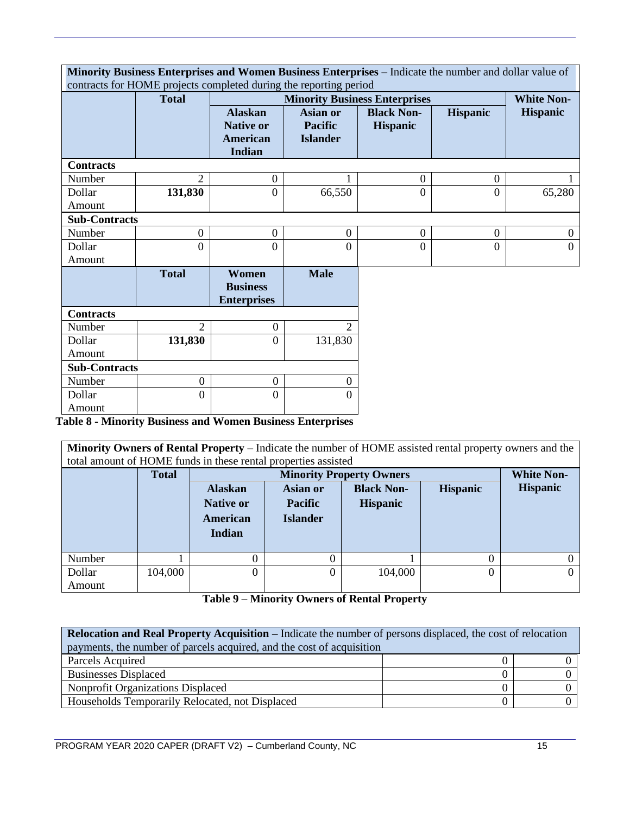|                      | Minority Business Enterprises and Women Business Enterprises - Indicate the number and dollar value of |                                                                 |                                                      |                                      |                  |                   |
|----------------------|--------------------------------------------------------------------------------------------------------|-----------------------------------------------------------------|------------------------------------------------------|--------------------------------------|------------------|-------------------|
|                      | contracts for HOME projects completed during the reporting period<br><b>Total</b>                      |                                                                 |                                                      | <b>Minority Business Enterprises</b> |                  | <b>White Non-</b> |
|                      |                                                                                                        | <b>Alaskan</b><br><b>Native or</b><br><b>American</b><br>Indian | <b>Asian or</b><br><b>Pacific</b><br><b>Islander</b> | <b>Black Non-</b><br><b>Hispanic</b> | <b>Hispanic</b>  | <b>Hispanic</b>   |
| <b>Contracts</b>     |                                                                                                        |                                                                 |                                                      |                                      |                  |                   |
| Number               | $\overline{2}$                                                                                         | $\boldsymbol{0}$                                                |                                                      | $\boldsymbol{0}$                     | $\boldsymbol{0}$ |                   |
| Dollar               | 131,830                                                                                                | $\overline{0}$                                                  | 66,550                                               | $\overline{0}$                       | $\overline{0}$   | 65,280            |
| Amount               |                                                                                                        |                                                                 |                                                      |                                      |                  |                   |
| <b>Sub-Contracts</b> |                                                                                                        |                                                                 |                                                      |                                      |                  |                   |
| Number               | $\boldsymbol{0}$                                                                                       | $\boldsymbol{0}$                                                | $\overline{0}$                                       | $\boldsymbol{0}$                     | $\mathbf{0}$     | $\boldsymbol{0}$  |
| Dollar               | $\overline{0}$                                                                                         | $\overline{0}$                                                  | $\overline{0}$                                       | $\theta$                             | $\overline{0}$   | $\overline{0}$    |
| Amount               |                                                                                                        |                                                                 |                                                      |                                      |                  |                   |
|                      | <b>Total</b>                                                                                           | Women<br><b>Business</b><br><b>Enterprises</b>                  | <b>Male</b>                                          |                                      |                  |                   |
| <b>Contracts</b>     |                                                                                                        |                                                                 |                                                      |                                      |                  |                   |
| Number               | 2                                                                                                      | $\boldsymbol{0}$                                                | 2                                                    |                                      |                  |                   |
| Dollar               | 131,830                                                                                                | $\overline{0}$                                                  | 131,830                                              |                                      |                  |                   |
| Amount               |                                                                                                        |                                                                 |                                                      |                                      |                  |                   |
| <b>Sub-Contracts</b> |                                                                                                        |                                                                 |                                                      |                                      |                  |                   |
| Number               | $\overline{0}$                                                                                         | $\overline{0}$                                                  | $\boldsymbol{0}$                                     |                                      |                  |                   |
| Dollar               | $\overline{0}$                                                                                         | $\Omega$                                                        | 0                                                    |                                      |                  |                   |
| Amount               |                                                                                                        |                                                                 |                                                      |                                      |                  |                   |

**Table 8 - Minority Business and Women Business Enterprises**

**Minority Owners of Rental Property** – Indicate the number of HOME assisted rental property owners and the total amount of HOME funds in these rental properties assisted

|        | <b>Total</b> |                                                          |                                                      | <b>Minority Property Owners</b>      |                 | <b>White Non-</b> |
|--------|--------------|----------------------------------------------------------|------------------------------------------------------|--------------------------------------|-----------------|-------------------|
|        |              | <b>Alaskan</b><br><b>Native or</b><br>American<br>Indian | <b>Asian or</b><br><b>Pacific</b><br><b>Islander</b> | <b>Black Non-</b><br><b>Hispanic</b> | <b>Hispanic</b> | <b>Hispanic</b>   |
| Number |              | 0                                                        |                                                      |                                      |                 |                   |
| Dollar | 104,000      | 0                                                        | 0                                                    | 104,000                              | 0               |                   |
| Amount |              |                                                          |                                                      |                                      |                 |                   |

**Table 9 – Minority Owners of Rental Property**

| <b>Relocation and Real Property Acquisition – Indicate the number of persons displaced, the cost of relocation</b> |  |  |  |  |  |  |
|--------------------------------------------------------------------------------------------------------------------|--|--|--|--|--|--|
| payments, the number of parcels acquired, and the cost of acquisition                                              |  |  |  |  |  |  |
| Parcels Acquired                                                                                                   |  |  |  |  |  |  |
| <b>Businesses Displaced</b>                                                                                        |  |  |  |  |  |  |
| Nonprofit Organizations Displaced                                                                                  |  |  |  |  |  |  |
| Households Temporarily Relocated, not Displaced                                                                    |  |  |  |  |  |  |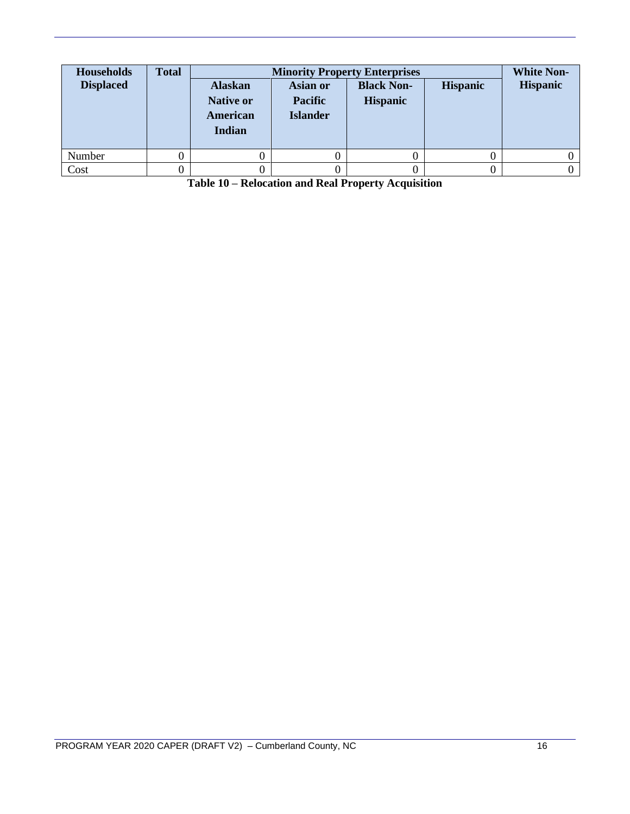| <b>Households</b><br><b>Displaced</b> | <b>Total</b> | <b>Alaskan</b><br><b>Native or</b><br>American<br>Indian | Asian or<br><b>Pacific</b><br><b>Islander</b> | <b>Minority Property Enterprises</b><br><b>Black Non-</b><br><b>Hispanic</b> | <b>Hispanic</b> | <b>White Non-</b><br><b>Hispanic</b> |
|---------------------------------------|--------------|----------------------------------------------------------|-----------------------------------------------|------------------------------------------------------------------------------|-----------------|--------------------------------------|
| Number                                |              |                                                          |                                               |                                                                              |                 |                                      |
| Cost                                  |              |                                                          |                                               |                                                                              |                 |                                      |

**Table 10 – Relocation and Real Property Acquisition**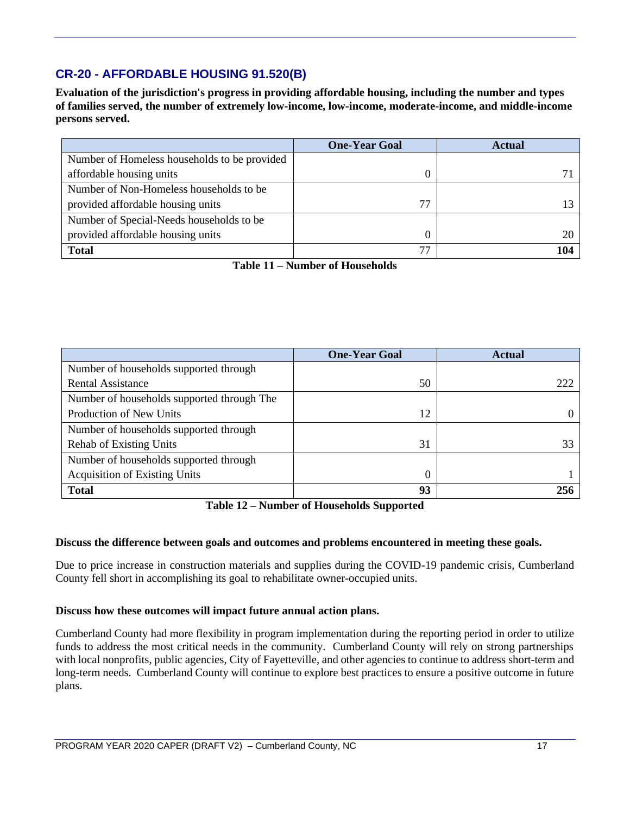# **CR-20 - AFFORDABLE HOUSING 91.520(B)**

**Evaluation of the jurisdiction's progress in providing affordable housing, including the number and types of families served, the number of extremely low-income, low-income, moderate-income, and middle-income persons served.**

|                                              | <b>One-Year Goal</b> | <b>Actual</b> |
|----------------------------------------------|----------------------|---------------|
| Number of Homeless households to be provided |                      |               |
| affordable housing units                     |                      |               |
| Number of Non-Homeless households to be      |                      |               |
| provided affordable housing units            | 77                   |               |
| Number of Special-Needs households to be     |                      |               |
| provided affordable housing units            |                      |               |
| <b>Total</b>                                 | 77                   | 104           |

**Table 11 – Number of Households**

|                                            | <b>One-Year Goal</b> | <b>Actual</b> |
|--------------------------------------------|----------------------|---------------|
| Number of households supported through     |                      |               |
| <b>Rental Assistance</b>                   | 50                   | 222           |
| Number of households supported through The |                      |               |
| Production of New Units                    | 12                   |               |
| Number of households supported through     |                      |               |
| <b>Rehab of Existing Units</b>             | 31                   |               |
| Number of households supported through     |                      |               |
| <b>Acquisition of Existing Units</b>       |                      |               |
| <b>Total</b>                               | 93                   | 256           |

**Table 12 – Number of Households Supported**

#### **Discuss the difference between goals and outcomes and problems encountered in meeting these goals.**

Due to price increase in construction materials and supplies during the COVID-19 pandemic crisis, Cumberland County fell short in accomplishing its goal to rehabilitate owner-occupied units.

#### **Discuss how these outcomes will impact future annual action plans.**

Cumberland County had more flexibility in program implementation during the reporting period in order to utilize funds to address the most critical needs in the community. Cumberland County will rely on strong partnerships with local nonprofits, public agencies, City of Fayetteville, and other agencies to continue to address short-term and long-term needs. Cumberland County will continue to explore best practices to ensure a positive outcome in future plans.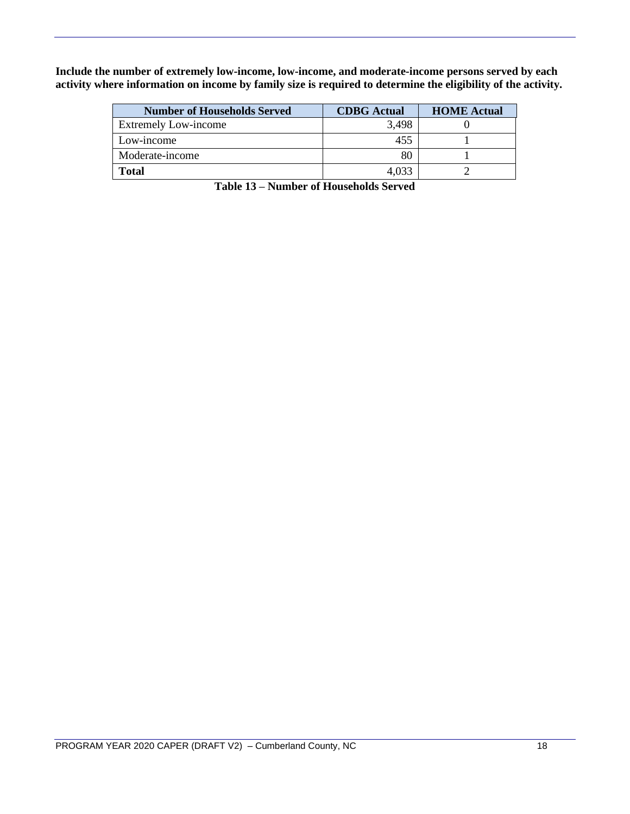**Include the number of extremely low-income, low-income, and moderate-income persons served by each activity where information on income by family size is required to determine the eligibility of the activity.**

| <b>Number of Households Served</b> | <b>CDBG</b> Actual | <b>HOME Actual</b> |
|------------------------------------|--------------------|--------------------|
| <b>Extremely Low-income</b>        | 3,498              |                    |
| Low-income                         | 455                |                    |
| Moderate-income                    | 80                 |                    |
| <b>Total</b>                       | 4.033              |                    |

**Table 13 – Number of Households Served**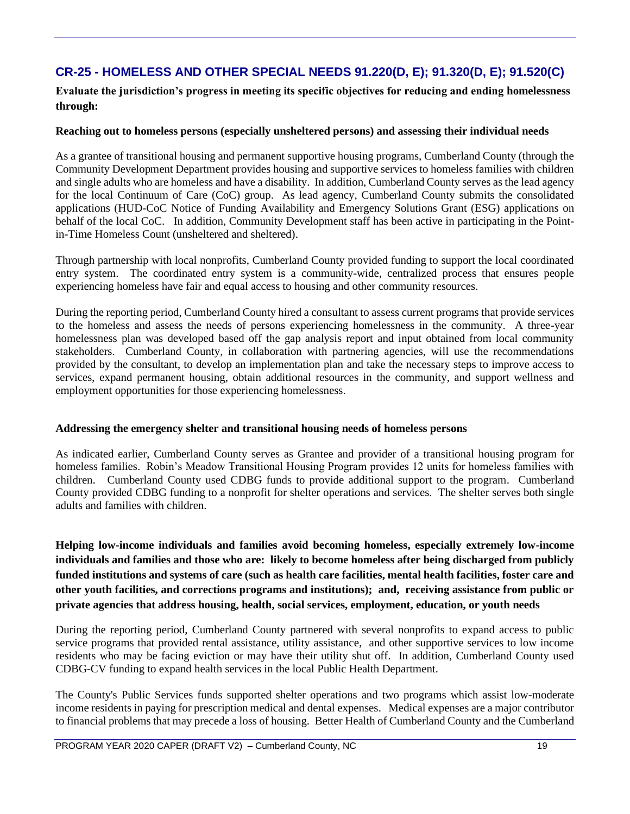# **CR-25 - HOMELESS AND OTHER SPECIAL NEEDS 91.220(D, E); 91.320(D, E); 91.520(C)**

**Evaluate the jurisdiction's progress in meeting its specific objectives for reducing and ending homelessness through:**

### **Reaching out to homeless persons (especially unsheltered persons) and assessing their individual needs**

As a grantee of transitional housing and permanent supportive housing programs, Cumberland County (through the Community Development Department provides housing and supportive services to homeless families with children and single adults who are homeless and have a disability. In addition, Cumberland County serves as the lead agency for the local Continuum of Care (CoC) group. As lead agency, Cumberland County submits the consolidated applications (HUD-CoC Notice of Funding Availability and Emergency Solutions Grant (ESG) applications on behalf of the local CoC. In addition, Community Development staff has been active in participating in the Pointin-Time Homeless Count (unsheltered and sheltered).

Through partnership with local nonprofits, Cumberland County provided funding to support the local coordinated entry system. The coordinated entry system is a community-wide, centralized process that ensures people experiencing homeless have fair and equal access to housing and other community resources.

During the reporting period, Cumberland County hired a consultant to assess current programs that provide services to the homeless and assess the needs of persons experiencing homelessness in the community. A three-year homelessness plan was developed based off the gap analysis report and input obtained from local community stakeholders. Cumberland County, in collaboration with partnering agencies, will use the recommendations provided by the consultant, to develop an implementation plan and take the necessary steps to improve access to services, expand permanent housing, obtain additional resources in the community, and support wellness and employment opportunities for those experiencing homelessness.

#### **Addressing the emergency shelter and transitional housing needs of homeless persons**

As indicated earlier, Cumberland County serves as Grantee and provider of a transitional housing program for homeless families. Robin's Meadow Transitional Housing Program provides 12 units for homeless families with children. Cumberland County used CDBG funds to provide additional support to the program. Cumberland County provided CDBG funding to a nonprofit for shelter operations and services. The shelter serves both single adults and families with children.

**Helping low-income individuals and families avoid becoming homeless, especially extremely low-income individuals and families and those who are: likely to become homeless after being discharged from publicly funded institutions and systems of care (such as health care facilities, mental health facilities, foster care and other youth facilities, and corrections programs and institutions); and, receiving assistance from public or private agencies that address housing, health, social services, employment, education, or youth needs**

During the reporting period, Cumberland County partnered with several nonprofits to expand access to public service programs that provided rental assistance, utility assistance, and other supportive services to low income residents who may be facing eviction or may have their utility shut off. In addition, Cumberland County used CDBG-CV funding to expand health services in the local Public Health Department.

The County's Public Services funds supported shelter operations and two programs which assist low-moderate income residents in paying for prescription medical and dental expenses. Medical expenses are a major contributor to financial problems that may precede a loss of housing. Better Health of Cumberland County and the Cumberland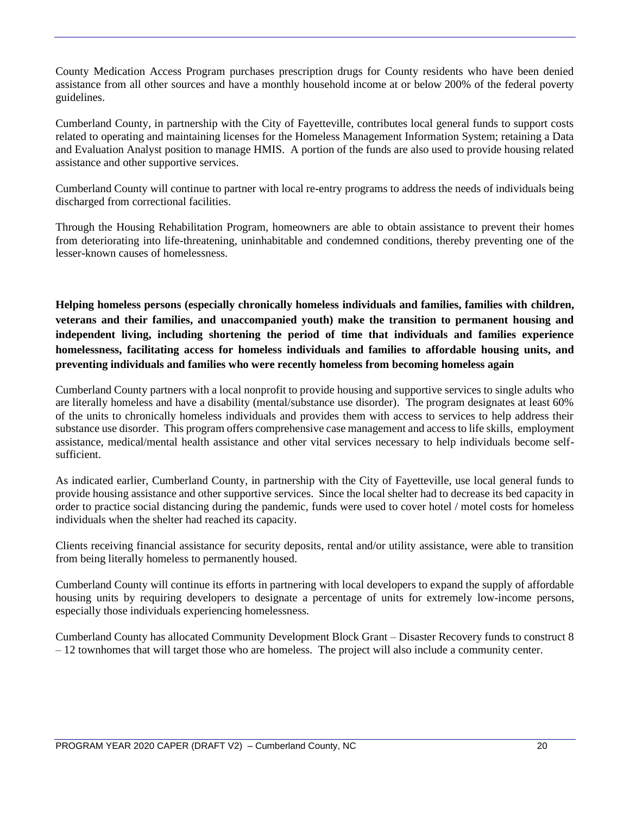County Medication Access Program purchases prescription drugs for County residents who have been denied assistance from all other sources and have a monthly household income at or below 200% of the federal poverty guidelines.

Cumberland County, in partnership with the City of Fayetteville, contributes local general funds to support costs related to operating and maintaining licenses for the Homeless Management Information System; retaining a Data and Evaluation Analyst position to manage HMIS. A portion of the funds are also used to provide housing related assistance and other supportive services.

Cumberland County will continue to partner with local re-entry programs to address the needs of individuals being discharged from correctional facilities.

Through the Housing Rehabilitation Program, homeowners are able to obtain assistance to prevent their homes from deteriorating into life-threatening, uninhabitable and condemned conditions, thereby preventing one of the lesser-known causes of homelessness.

**Helping homeless persons (especially chronically homeless individuals and families, families with children, veterans and their families, and unaccompanied youth) make the transition to permanent housing and independent living, including shortening the period of time that individuals and families experience homelessness, facilitating access for homeless individuals and families to affordable housing units, and preventing individuals and families who were recently homeless from becoming homeless again**

Cumberland County partners with a local nonprofit to provide housing and supportive services to single adults who are literally homeless and have a disability (mental/substance use disorder). The program designates at least 60% of the units to chronically homeless individuals and provides them with access to services to help address their substance use disorder. This program offers comprehensive case management and access to life skills, employment assistance, medical/mental health assistance and other vital services necessary to help individuals become selfsufficient.

As indicated earlier, Cumberland County, in partnership with the City of Fayetteville, use local general funds to provide housing assistance and other supportive services. Since the local shelter had to decrease its bed capacity in order to practice social distancing during the pandemic, funds were used to cover hotel / motel costs for homeless individuals when the shelter had reached its capacity.

Clients receiving financial assistance for security deposits, rental and/or utility assistance, were able to transition from being literally homeless to permanently housed.

Cumberland County will continue its efforts in partnering with local developers to expand the supply of affordable housing units by requiring developers to designate a percentage of units for extremely low-income persons, especially those individuals experiencing homelessness.

Cumberland County has allocated Community Development Block Grant – Disaster Recovery funds to construct 8 – 12 townhomes that will target those who are homeless. The project will also include a community center.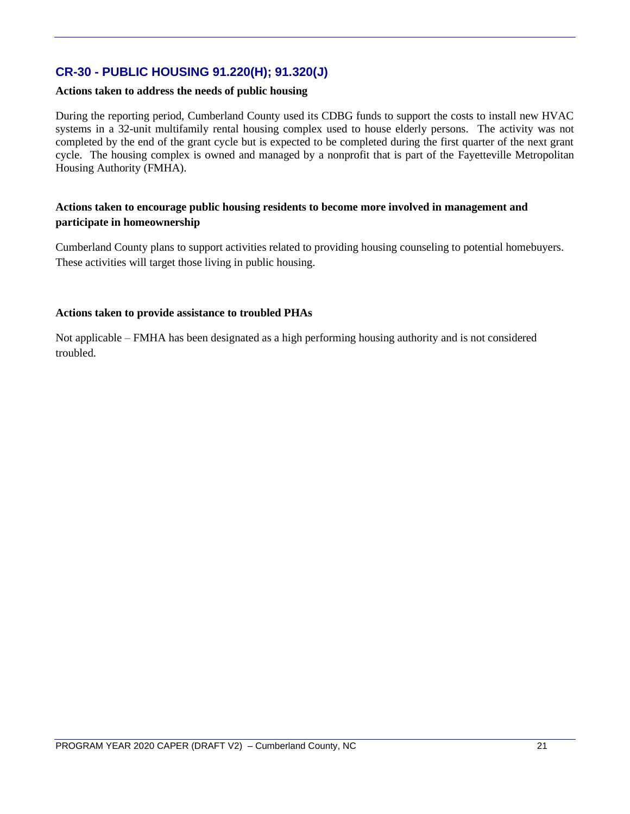# **CR-30 - PUBLIC HOUSING 91.220(H); 91.320(J)**

#### **Actions taken to address the needs of public housing**

During the reporting period, Cumberland County used its CDBG funds to support the costs to install new HVAC systems in a 32-unit multifamily rental housing complex used to house elderly persons. The activity was not completed by the end of the grant cycle but is expected to be completed during the first quarter of the next grant cycle. The housing complex is owned and managed by a nonprofit that is part of the Fayetteville Metropolitan Housing Authority (FMHA).

### **Actions taken to encourage public housing residents to become more involved in management and participate in homeownership**

Cumberland County plans to support activities related to providing housing counseling to potential homebuyers. These activities will target those living in public housing.

#### **Actions taken to provide assistance to troubled PHAs**

Not applicable – FMHA has been designated as a high performing housing authority and is not considered troubled.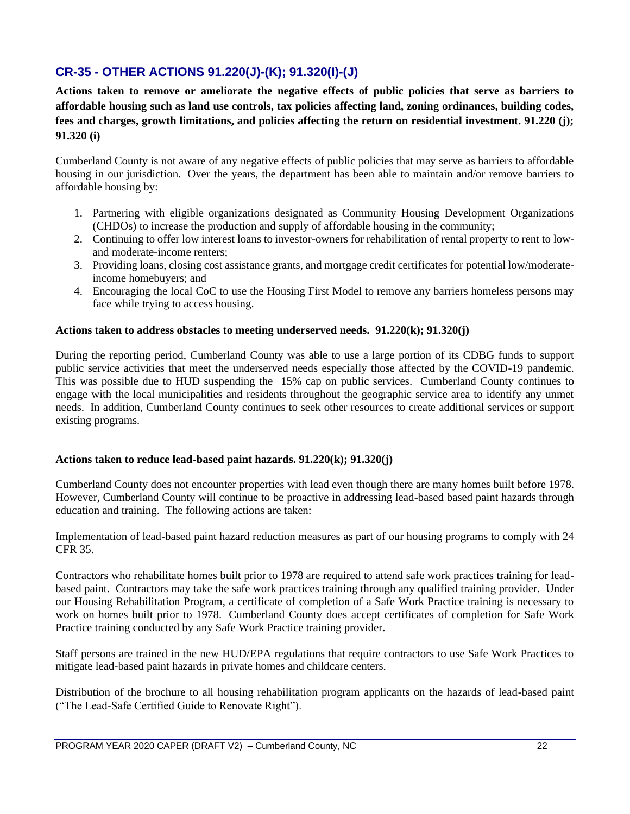# **CR-35 - OTHER ACTIONS 91.220(J)-(K); 91.320(I)-(J)**

**Actions taken to remove or ameliorate the negative effects of public policies that serve as barriers to affordable housing such as land use controls, tax policies affecting land, zoning ordinances, building codes, fees and charges, growth limitations, and policies affecting the return on residential investment. 91.220 (j); 91.320 (i)**

Cumberland County is not aware of any negative effects of public policies that may serve as barriers to affordable housing in our jurisdiction. Over the years, the department has been able to maintain and/or remove barriers to affordable housing by:

- 1. Partnering with eligible organizations designated as Community Housing Development Organizations (CHDOs) to increase the production and supply of affordable housing in the community;
- 2. Continuing to offer low interest loans to investor-owners for rehabilitation of rental property to rent to lowand moderate-income renters;
- 3. Providing loans, closing cost assistance grants, and mortgage credit certificates for potential low/moderateincome homebuyers; and
- 4. Encouraging the local CoC to use the Housing First Model to remove any barriers homeless persons may face while trying to access housing.

### **Actions taken to address obstacles to meeting underserved needs. 91.220(k); 91.320(j)**

During the reporting period, Cumberland County was able to use a large portion of its CDBG funds to support public service activities that meet the underserved needs especially those affected by the COVID-19 pandemic. This was possible due to HUD suspending the 15% cap on public services. Cumberland County continues to engage with the local municipalities and residents throughout the geographic service area to identify any unmet needs. In addition, Cumberland County continues to seek other resources to create additional services or support existing programs.

#### **Actions taken to reduce lead-based paint hazards. 91.220(k); 91.320(j)**

Cumberland County does not encounter properties with lead even though there are many homes built before 1978. However, Cumberland County will continue to be proactive in addressing lead-based based paint hazards through education and training. The following actions are taken:

Implementation of lead-based paint hazard reduction measures as part of our housing programs to comply with 24 CFR 35.

Contractors who rehabilitate homes built prior to 1978 are required to attend safe work practices training for leadbased paint. Contractors may take the safe work practices training through any qualified training provider. Under our Housing Rehabilitation Program, a certificate of completion of a Safe Work Practice training is necessary to work on homes built prior to 1978. Cumberland County does accept certificates of completion for Safe Work Practice training conducted by any Safe Work Practice training provider.

Staff persons are trained in the new HUD/EPA regulations that require contractors to use Safe Work Practices to mitigate lead-based paint hazards in private homes and childcare centers.

Distribution of the brochure to all housing rehabilitation program applicants on the hazards of lead-based paint ("The Lead-Safe Certified Guide to Renovate Right").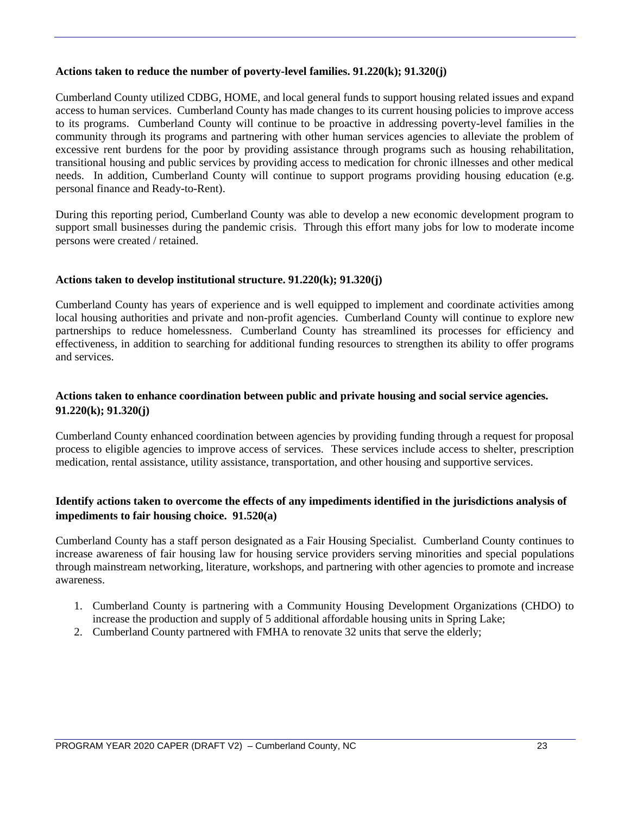#### **Actions taken to reduce the number of poverty-level families. 91.220(k); 91.320(j)**

Cumberland County utilized CDBG, HOME, and local general funds to support housing related issues and expand access to human services. Cumberland County has made changes to its current housing policies to improve access to its programs. Cumberland County will continue to be proactive in addressing poverty-level families in the community through its programs and partnering with other human services agencies to alleviate the problem of excessive rent burdens for the poor by providing assistance through programs such as housing rehabilitation, transitional housing and public services by providing access to medication for chronic illnesses and other medical needs. In addition, Cumberland County will continue to support programs providing housing education (e.g. personal finance and Ready-to-Rent).

During this reporting period, Cumberland County was able to develop a new economic development program to support small businesses during the pandemic crisis. Through this effort many jobs for low to moderate income persons were created / retained.

#### **Actions taken to develop institutional structure. 91.220(k); 91.320(j)**

Cumberland County has years of experience and is well equipped to implement and coordinate activities among local housing authorities and private and non-profit agencies. Cumberland County will continue to explore new partnerships to reduce homelessness. Cumberland County has streamlined its processes for efficiency and effectiveness, in addition to searching for additional funding resources to strengthen its ability to offer programs and services.

## **Actions taken to enhance coordination between public and private housing and social service agencies. 91.220(k); 91.320(j)**

Cumberland County enhanced coordination between agencies by providing funding through a request for proposal process to eligible agencies to improve access of services. These services include access to shelter, prescription medication, rental assistance, utility assistance, transportation, and other housing and supportive services.

## **Identify actions taken to overcome the effects of any impediments identified in the jurisdictions analysis of impediments to fair housing choice. 91.520(a)**

Cumberland County has a staff person designated as a Fair Housing Specialist. Cumberland County continues to increase awareness of fair housing law for housing service providers serving minorities and special populations through mainstream networking, literature, workshops, and partnering with other agencies to promote and increase awareness.

- 1. Cumberland County is partnering with a Community Housing Development Organizations (CHDO) to increase the production and supply of 5 additional affordable housing units in Spring Lake;
- 2. Cumberland County partnered with FMHA to renovate 32 units that serve the elderly;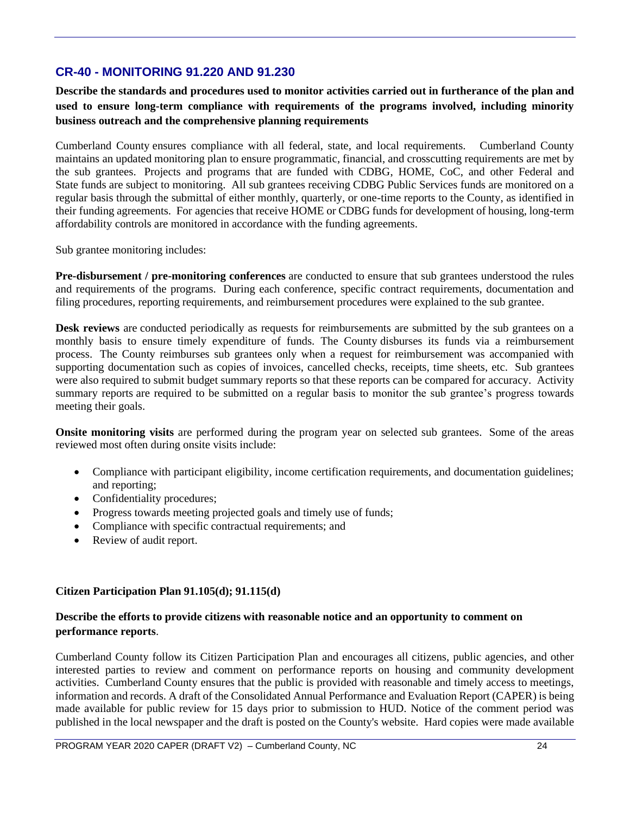# **CR-40 - MONITORING 91.220 AND 91.230**

**Describe the standards and procedures used to monitor activities carried out in furtherance of the plan and used to ensure long-term compliance with requirements of the programs involved, including minority business outreach and the comprehensive planning requirements**

Cumberland County ensures compliance with all federal, state, and local requirements. Cumberland County maintains an updated monitoring plan to ensure programmatic, financial, and crosscutting requirements are met by the sub grantees. Projects and programs that are funded with CDBG, HOME, CoC, and other Federal and State funds are subject to monitoring. All sub grantees receiving CDBG Public Services funds are monitored on a regular basis through the submittal of either monthly, quarterly, or one-time reports to the County, as identified in their funding agreements. For agencies that receive HOME or CDBG funds for development of housing, long-term affordability controls are monitored in accordance with the funding agreements.

Sub grantee monitoring includes:

**Pre-disbursement / pre-monitoring conferences** are conducted to ensure that sub grantees understood the rules and requirements of the programs. During each conference, specific contract requirements, documentation and filing procedures, reporting requirements, and reimbursement procedures were explained to the sub grantee.

**Desk reviews** are conducted periodically as requests for reimbursements are submitted by the sub grantees on a monthly basis to ensure timely expenditure of funds. The County disburses its funds via a reimbursement process. The County reimburses sub grantees only when a request for reimbursement was accompanied with supporting documentation such as copies of invoices, cancelled checks, receipts, time sheets, etc. Sub grantees were also required to submit budget summary reports so that these reports can be compared for accuracy. Activity summary reports are required to be submitted on a regular basis to monitor the sub grantee's progress towards meeting their goals.

**Onsite monitoring visits** are performed during the program year on selected sub grantees. Some of the areas reviewed most often during onsite visits include:

- Compliance with participant eligibility, income certification requirements, and documentation guidelines; and reporting;
- Confidentiality procedures;
- Progress towards meeting projected goals and timely use of funds;
- Compliance with specific contractual requirements; and
- Review of audit report.

## **Citizen Participation Plan 91.105(d); 91.115(d)**

## **Describe the efforts to provide citizens with reasonable notice and an opportunity to comment on performance reports**.

Cumberland County follow its Citizen Participation Plan and encourages all citizens, public agencies, and other interested parties to review and comment on performance reports on housing and community development activities. Cumberland County ensures that the public is provided with reasonable and timely access to meetings, information and records. A draft of the Consolidated Annual Performance and Evaluation Report (CAPER) is being made available for public review for 15 days prior to submission to HUD. Notice of the comment period was published in the local newspaper and the draft is posted on the County's website. Hard copies were made available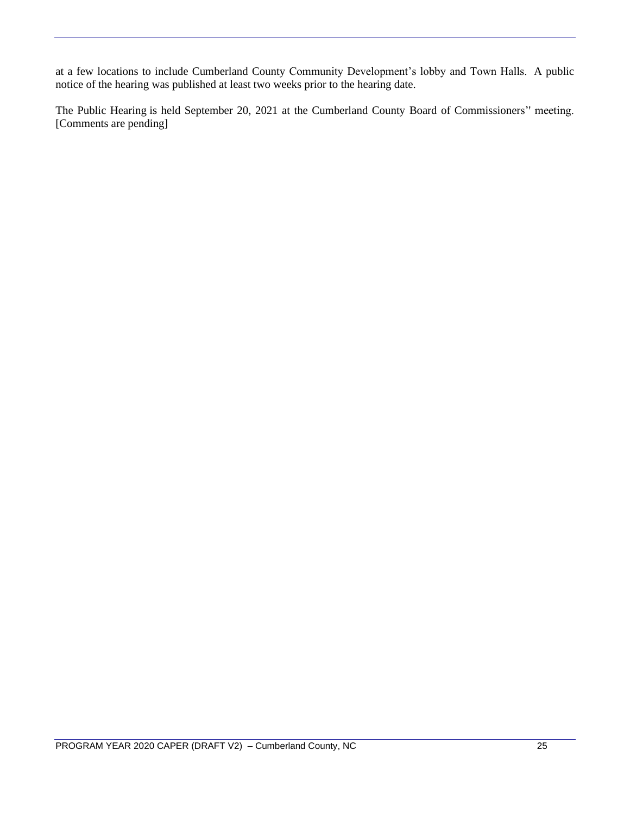at a few locations to include Cumberland County Community Development's lobby and Town Halls. A public notice of the hearing was published at least two weeks prior to the hearing date.

The Public Hearing is held September 20, 2021 at the Cumberland County Board of Commissioners'' meeting. [Comments are pending]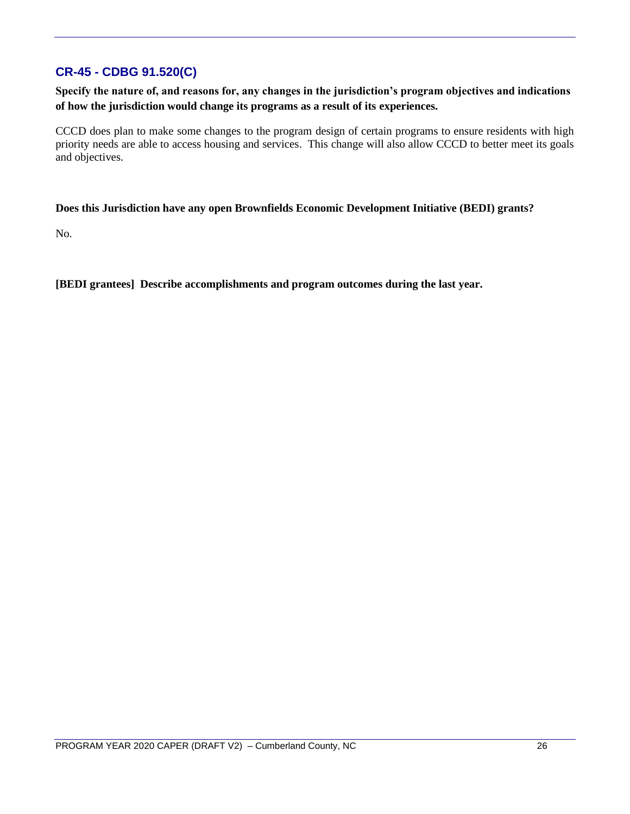# **CR-45 - CDBG 91.520(C)**

**Specify the nature of, and reasons for, any changes in the jurisdiction's program objectives and indications of how the jurisdiction would change its programs as a result of its experiences.**

CCCD does plan to make some changes to the program design of certain programs to ensure residents with high priority needs are able to access housing and services. This change will also allow CCCD to better meet its goals and objectives.

#### **Does this Jurisdiction have any open Brownfields Economic Development Initiative (BEDI) grants?**

No.

**[BEDI grantees] Describe accomplishments and program outcomes during the last year.**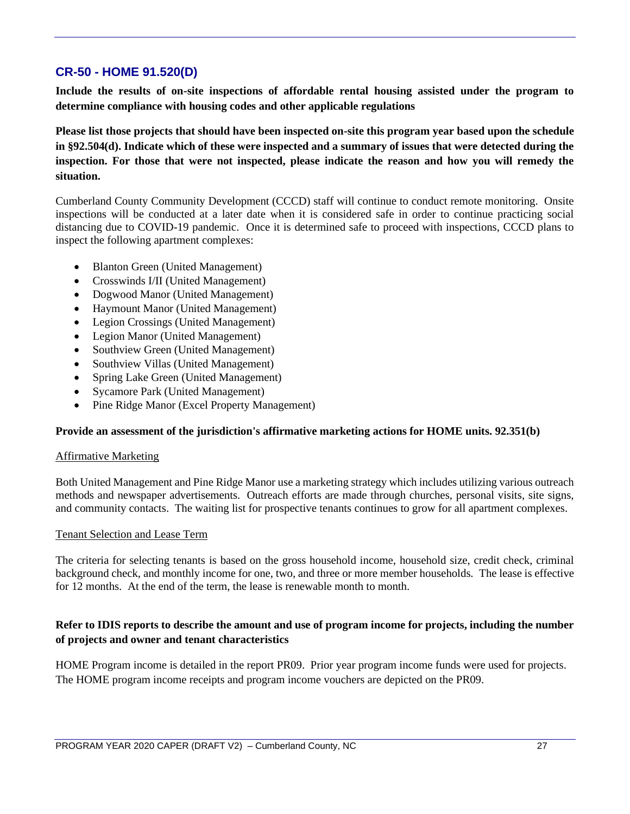# **CR-50 - HOME 91.520(D)**

**Include the results of on-site inspections of affordable rental housing assisted under the program to determine compliance with housing codes and other applicable regulations** 

**Please list those projects that should have been inspected on-site this program year based upon the schedule in §92.504(d). Indicate which of these were inspected and a summary of issues that were detected during the inspection. For those that were not inspected, please indicate the reason and how you will remedy the situation.**

Cumberland County Community Development (CCCD) staff will continue to conduct remote monitoring. Onsite inspections will be conducted at a later date when it is considered safe in order to continue practicing social distancing due to COVID-19 pandemic. Once it is determined safe to proceed with inspections, CCCD plans to inspect the following apartment complexes:

- Blanton Green (United Management)
- Crosswinds I/II (United Management)
- Dogwood Manor (United Management)
- Haymount Manor (United Management)
- Legion Crossings (United Management)
- Legion Manor (United Management)
- Southview Green (United Management)
- Southview Villas (United Management)
- Spring Lake Green (United Management)
- Sycamore Park (United Management)
- Pine Ridge Manor (Excel Property Management)

#### **Provide an assessment of the jurisdiction's affirmative marketing actions for HOME units. 92.351(b)**

#### Affirmative Marketing

Both United Management and Pine Ridge Manor use a marketing strategy which includes utilizing various outreach methods and newspaper advertisements. Outreach efforts are made through churches, personal visits, site signs, and community contacts. The waiting list for prospective tenants continues to grow for all apartment complexes.

#### Tenant Selection and Lease Term

The criteria for selecting tenants is based on the gross household income, household size, credit check, criminal background check, and monthly income for one, two, and three or more member households. The lease is effective for 12 months. At the end of the term, the lease is renewable month to month.

# **Refer to IDIS reports to describe the amount and use of program income for projects, including the number of projects and owner and tenant characteristics**

HOME Program income is detailed in the report PR09. Prior year program income funds were used for projects. The HOME program income receipts and program income vouchers are depicted on the PR09.